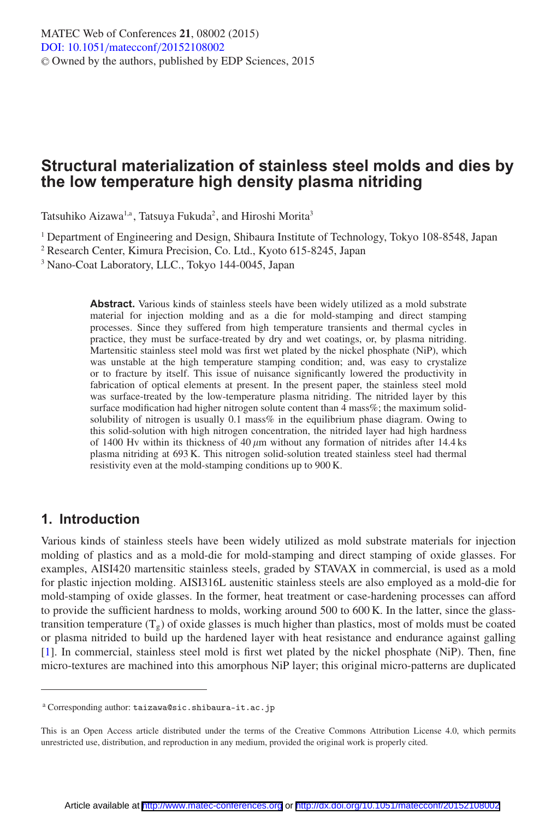# **Structural materialization of stainless steel molds and dies by the low temperature high density plasma nitriding**

Tatsuhiko Aizawa<sup>1,a</sup>, Tatsuya Fukuda<sup>2</sup>, and Hiroshi Morita<sup>3</sup>

<sup>1</sup> Department of Engineering and Design, Shibaura Institute of Technology, Tokyo 108-8548, Japan

<sup>2</sup> Research Center, Kimura Precision, Co. Ltd., Kyoto 615-8245, Japan

<sup>3</sup> Nano-Coat Laboratory, LLC., Tokyo 144-0045, Japan

**Abstract.** Various kinds of stainless steels have been widely utilized as a mold substrate material for injection molding and as a die for mold-stamping and direct stamping processes. Since they suffered from high temperature transients and thermal cycles in practice, they must be surface-treated by dry and wet coatings, or, by plasma nitriding. Martensitic stainless steel mold was first wet plated by the nickel phosphate (NiP), which was unstable at the high temperature stamping condition; and, was easy to crystalize or to fracture by itself. This issue of nuisance significantly lowered the productivity in fabrication of optical elements at present. In the present paper, the stainless steel mold was surface-treated by the low-temperature plasma nitriding. The nitrided layer by this surface modification had higher nitrogen solute content than 4 mass%; the maximum solidsolubility of nitrogen is usually 0.1 mass% in the equilibrium phase diagram. Owing to this solid-solution with high nitrogen concentration, the nitrided layer had high hardness of 1400 Hv within its thickness of 40  $\mu$ m without any formation of nitrides after 14.4 ks plasma nitriding at 693 K. This nitrogen solid-solution treated stainless steel had thermal resistivity even at the mold-stamping conditions up to 900 K.

## **1. Introduction**

Various kinds of stainless steels have been widely utilized as mold substrate materials for injection molding of plastics and as a mold-die for mold-stamping and direct stamping of oxide glasses. For examples, AISI420 martensitic stainless steels, graded by STAVAX in commercial, is used as a mold for plastic injection molding. AISI316L austenitic stainless steels are also employed as a mold-die for mold-stamping of oxide glasses. In the former, heat treatment or case-hardening processes can afford to provide the sufficient hardness to molds, working around 500 to 600 K. In the latter, since the glasstransition temperature  $(T_g)$  of oxide glasses is much higher than plastics, most of molds must be coated or plasma nitrided to build up the hardened layer with heat resistance and endurance against galling [\[1\]](#page-5-0). In commercial, stainless steel mold is first wet plated by the nickel phosphate (NiP). Then, fine micro-textures are machined into this amorphous NiP layer; this original micro-patterns are duplicated

<sup>a</sup> Corresponding author: taizawa@sic.shibaura-it.ac.jp

This is an Open Access article distributed under the terms of the Creative Commons Attribution License 4.0, which permits unrestricted use, distribution, and reproduction in any medium, provided the original work is properly cited.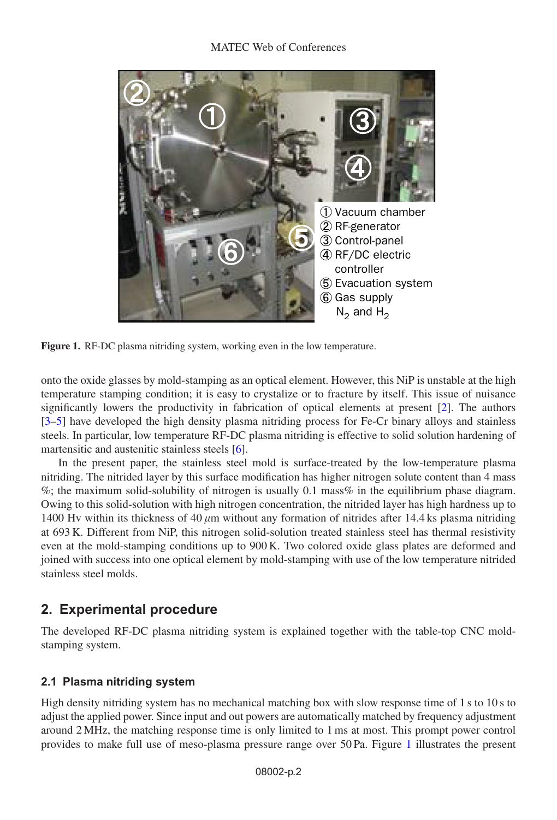<span id="page-1-0"></span>

**Figure 1.** RF-DC plasma nitriding system, working even in the low temperature.

onto the oxide glasses by mold-stamping as an optical element. However, this NiP is unstable at the high temperature stamping condition; it is easy to crystalize or to fracture by itself. This issue of nuisance significantly lowers the productivity in fabrication of optical elements at present [\[2\]](#page-5-1). The authors [\[3](#page-5-2)[–5\]](#page-5-3) have developed the high density plasma nitriding process for Fe-Cr binary alloys and stainless steels. In particular, low temperature RF-DC plasma nitriding is effective to solid solution hardening of martensitic and austenitic stainless steels [\[6\]](#page-5-4).

In the present paper, the stainless steel mold is surface-treated by the low-temperature plasma nitriding. The nitrided layer by this surface modification has higher nitrogen solute content than 4 mass  $\%$ ; the maximum solid-solubility of nitrogen is usually 0.1 mass $\%$  in the equilibrium phase diagram. Owing to this solid-solution with high nitrogen concentration, the nitrided layer has high hardness up to 1400 Hv within its thickness of 40  $\mu$ m without any formation of nitrides after 14.4 ks plasma nitriding at 693 K. Different from NiP, this nitrogen solid-solution treated stainless steel has thermal resistivity even at the mold-stamping conditions up to 900 K. Two colored oxide glass plates are deformed and joined with success into one optical element by mold-stamping with use of the low temperature nitrided stainless steel molds.

## **2. Experimental procedure**

The developed RF-DC plasma nitriding system is explained together with the table-top CNC moldstamping system.

## **2.1 Plasma nitriding system**

High density nitriding system has no mechanical matching box with slow response time of 1 s to 10 s to adjust the applied power. Since input and out powers are automatically matched by frequency adjustment around 2 MHz, the matching response time is only limited to 1 ms at most. This prompt power control provides to make full use of meso-plasma pressure range over 50 Pa. Figure [1](#page-1-0) illustrates the present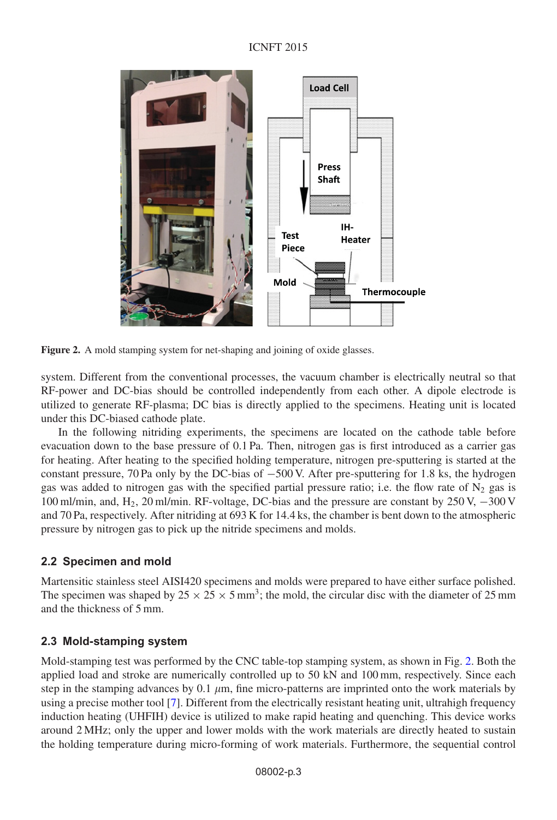<span id="page-2-0"></span>

Figure 2. A mold stamping system for net-shaping and joining of oxide glasses.

system. Different from the conventional processes, the vacuum chamber is electrically neutral so that RF-power and DC-bias should be controlled independently from each other. A dipole electrode is utilized to generate RF-plasma; DC bias is directly applied to the specimens. Heating unit is located under this DC-biased cathode plate.

In the following nitriding experiments, the specimens are located on the cathode table before evacuation down to the base pressure of 0.1 Pa. Then, nitrogen gas is first introduced as a carrier gas for heating. After heating to the specified holding temperature, nitrogen pre-sputtering is started at the constant pressure, 70 Pa only by the DC-bias of −500 V. After pre-sputtering for 1.8 ks, the hydrogen gas was added to nitrogen gas with the specified partial pressure ratio; i.e. the flow rate of  $N_2$  gas is 100 ml/min, and, H2, 20 ml/min. RF-voltage, DC-bias and the pressure are constant by 250 V, −300 V and 70 Pa, respectively. After nitriding at 693 K for 14.4 ks, the chamber is bent down to the atmospheric pressure by nitrogen gas to pick up the nitride specimens and molds.

## **2.2 Specimen and mold**

Martensitic stainless steel AISI420 specimens and molds were prepared to have either surface polished. The specimen was shaped by  $25 \times 25 \times 5$  mm<sup>3</sup>; the mold, the circular disc with the diameter of 25 mm and the thickness of 5 mm.

## **2.3 Mold-stamping system**

Mold-stamping test was performed by the CNC table-top stamping system, as shown in Fig. [2.](#page-2-0) Both the applied load and stroke are numerically controlled up to 50 kN and 100 mm, respectively. Since each step in the stamping advances by 0.1  $\mu$ m, fine micro-patterns are imprinted onto the work materials by using a precise mother tool [\[7\]](#page-5-5). Different from the electrically resistant heating unit, ultrahigh frequency induction heating (UHFIH) device is utilized to make rapid heating and quenching. This device works around 2 MHz; only the upper and lower molds with the work materials are directly heated to sustain the holding temperature during micro-forming of work materials. Furthermore, the sequential control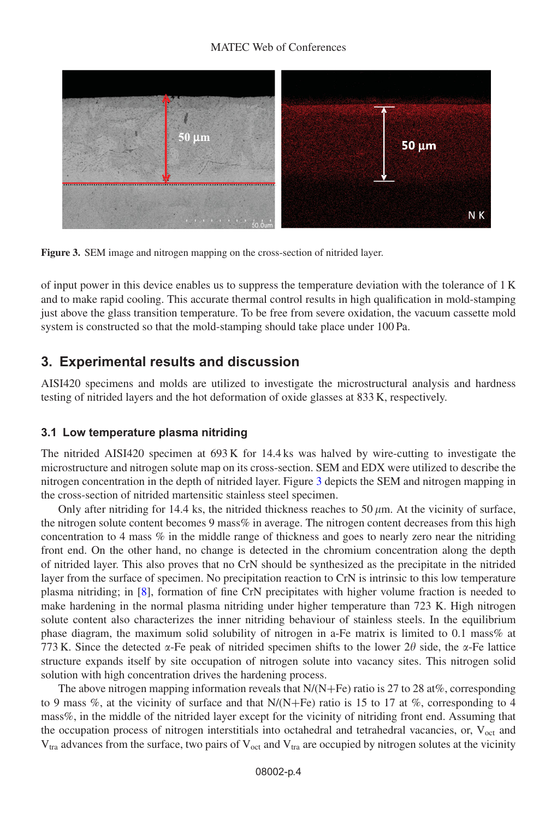#### MATEC Web of Conferences

<span id="page-3-0"></span>

**Figure 3.** SEM image and nitrogen mapping on the cross-section of nitrided layer.

of input power in this device enables us to suppress the temperature deviation with the tolerance of 1 K and to make rapid cooling. This accurate thermal control results in high qualification in mold-stamping just above the glass transition temperature. To be free from severe oxidation, the vacuum cassette mold system is constructed so that the mold-stamping should take place under 100 Pa.

## **3. Experimental results and discussion**

AISI420 specimens and molds are utilized to investigate the microstructural analysis and hardness testing of nitrided layers and the hot deformation of oxide glasses at 833 K, respectively.

#### **3.1 Low temperature plasma nitriding**

The nitrided AISI420 specimen at 693 K for 14.4 ks was halved by wire-cutting to investigate the microstructure and nitrogen solute map on its cross-section. SEM and EDX were utilized to describe the nitrogen concentration in the depth of nitrided layer. Figure [3](#page-3-0) depicts the SEM and nitrogen mapping in the cross-section of nitrided martensitic stainless steel specimen.

Only after nitriding for 14.4 ks, the nitrided thickness reaches to  $50 \mu m$ . At the vicinity of surface, the nitrogen solute content becomes 9 mass% in average. The nitrogen content decreases from this high concentration to 4 mass % in the middle range of thickness and goes to nearly zero near the nitriding front end. On the other hand, no change is detected in the chromium concentration along the depth of nitrided layer. This also proves that no CrN should be synthesized as the precipitate in the nitrided layer from the surface of specimen. No precipitation reaction to CrN is intrinsic to this low temperature plasma nitriding; in [\[8](#page-5-6)], formation of fine CrN precipitates with higher volume fraction is needed to make hardening in the normal plasma nitriding under higher temperature than 723 K. High nitrogen solute content also characterizes the inner nitriding behaviour of stainless steels. In the equilibrium phase diagram, the maximum solid solubility of nitrogen in a-Fe matrix is limited to 0.1 mass% at 773 K. Since the detected  $\alpha$ -Fe peak of nitrided specimen shifts to the lower 2 $\theta$  side, the  $\alpha$ -Fe lattice structure expands itself by site occupation of nitrogen solute into vacancy sites. This nitrogen solid solution with high concentration drives the hardening process.

The above nitrogen mapping information reveals that  $N/(N+Fe)$  ratio is 27 to 28 at%, corresponding to 9 mass %, at the vicinity of surface and that  $N/(N+Fe)$  ratio is 15 to 17 at %, corresponding to 4 mass%, in the middle of the nitrided layer except for the vicinity of nitriding front end. Assuming that the occupation process of nitrogen interstitials into octahedral and tetrahedral vacancies, or,  $V_{oct}$  and  $V_{\text{tra}}$  advances from the surface, two pairs of  $V_{\text{oct}}$  and  $V_{\text{tra}}$  are occupied by nitrogen solutes at the vicinity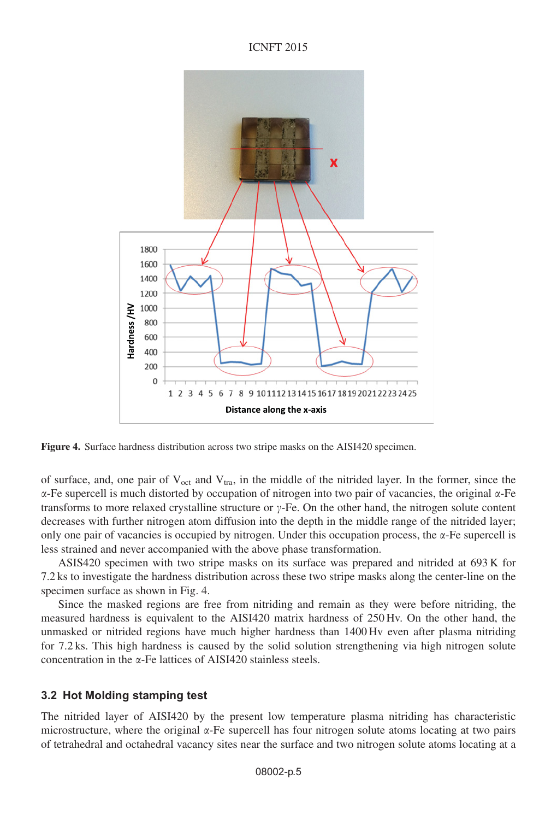

**Figure 4.** Surface hardness distribution across two stripe masks on the AISI420 specimen.

of surface, and, one pair of  $V_{\text{oct}}$  and  $V_{\text{tra}}$ , in the middle of the nitrided layer. In the former, since the  $\alpha$ -Fe supercell is much distorted by occupation of nitrogen into two pair of vacancies, the original  $\alpha$ -Fe transforms to more relaxed crystalline structure or  $\gamma$ -Fe. On the other hand, the nitrogen solute content decreases with further nitrogen atom diffusion into the depth in the middle range of the nitrided layer; only one pair of vacancies is occupied by nitrogen. Under this occupation process, the  $\alpha$ -Fe supercell is less strained and never accompanied with the above phase transformation.

ASIS420 specimen with two stripe masks on its surface was prepared and nitrided at 693 K for 7.2 ks to investigate the hardness distribution across these two stripe masks along the center-line on the specimen surface as shown in Fig. 4.

Since the masked regions are free from nitriding and remain as they were before nitriding, the measured hardness is equivalent to the AISI420 matrix hardness of 250 Hv. On the other hand, the unmasked or nitrided regions have much higher hardness than 1400 Hv even after plasma nitriding for 7.2 ks. This high hardness is caused by the solid solution strengthening via high nitrogen solute concentration in the  $\alpha$ -Fe lattices of AISI420 stainless steels.

#### **3.2 Hot Molding stamping test**

The nitrided layer of AISI420 by the present low temperature plasma nitriding has characteristic microstructure, where the original  $\alpha$ -Fe supercell has four nitrogen solute atoms locating at two pairs of tetrahedral and octahedral vacancy sites near the surface and two nitrogen solute atoms locating at a